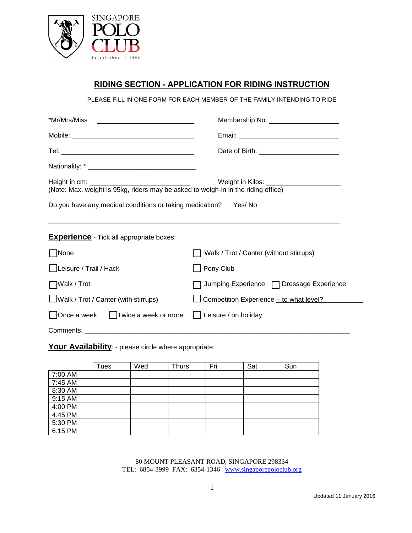

## **RIDING SECTION - APPLICATION FOR RIDING INSTRUCTION**

PLEASE FILL IN ONE FORM FOR EACH MEMBER OF THE FAMILY INTENDING TO RIDE

| *Mr/Mrs/Miss  _________________________________                                                                | Membership No: _______________________    |  |  |  |  |  |
|----------------------------------------------------------------------------------------------------------------|-------------------------------------------|--|--|--|--|--|
|                                                                                                                |                                           |  |  |  |  |  |
|                                                                                                                |                                           |  |  |  |  |  |
|                                                                                                                |                                           |  |  |  |  |  |
| Weight in Kilos: _________________________<br>Do you have any medical conditions or taking medication? Yes/ No |                                           |  |  |  |  |  |
| <b>Experience</b> - Tick all appropriate boxes:                                                                |                                           |  |  |  |  |  |
| □None                                                                                                          | Walk / Trot / Canter (without stirrups)   |  |  |  |  |  |
| Leisure / Trail / Hack                                                                                         | Pony Club                                 |  |  |  |  |  |
| $\Box$ Walk / Trot                                                                                             | Jumping Experience □ Dressage Experience  |  |  |  |  |  |
| $\Box$ Walk / Trot / Canter (with stirrups)                                                                    | □ Competition Experience - to what level? |  |  |  |  |  |
| Once a week   Twice a week or more                                                                             | Leisure / on holiday                      |  |  |  |  |  |

Comments: \_\_\_\_\_\_\_\_\_\_\_\_\_\_\_\_\_\_\_\_\_\_\_\_\_\_\_\_\_\_\_\_\_\_\_\_\_\_\_\_\_\_\_\_\_\_\_\_\_\_\_\_\_\_\_\_\_\_\_\_\_\_\_\_\_\_\_\_\_\_\_

Your Availability: - please circle where appropriate:

|         | Tues | Wed | <b>Thurs</b> | Fri | Sat | Sun |
|---------|------|-----|--------------|-----|-----|-----|
| 7:00 AM |      |     |              |     |     |     |
| 7:45 AM |      |     |              |     |     |     |
| 8:30 AM |      |     |              |     |     |     |
| 9:15 AM |      |     |              |     |     |     |
| 4:00 PM |      |     |              |     |     |     |
| 4:45 PM |      |     |              |     |     |     |
| 5:30 PM |      |     |              |     |     |     |
| 6:15 PM |      |     |              |     |     |     |

80 MOUNT PLEASANT ROAD, SINGAPORE 298334 TEL: 6854-3999 FAX: 6354-1346 [www.singaporepoloclub.org](http://www.singaporepoloclub.org/)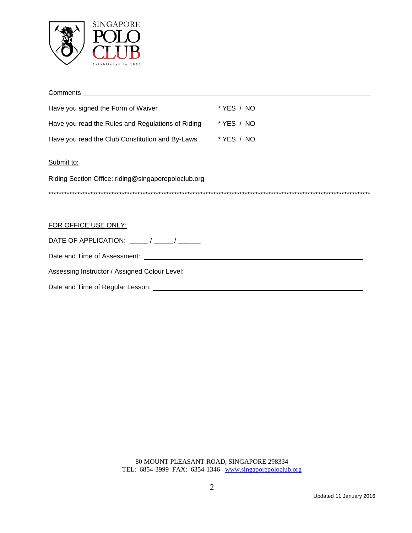

| Have you signed the Form of Waiver                                                                  | * YES / NO |
|-----------------------------------------------------------------------------------------------------|------------|
| Have you read the Rules and Regulations of Riding                                                   | * YES / NO |
| Have you read the Club Constitution and By-Laws * YES / NO                                          |            |
| Submit to:                                                                                          |            |
| Riding Section Office: riding@singaporepoloclub.org                                                 |            |
|                                                                                                     |            |
|                                                                                                     |            |
| FOR OFFICE USE ONLY:                                                                                |            |
|                                                                                                     |            |
|                                                                                                     |            |
| Assessing Instructor / Assigned Colour Level: <b>Assessing Instructor / Assigned Colour Level</b> : |            |
|                                                                                                     |            |

80 MOUNT PLEASANT ROAD, SINGAPORE 298334 TEL: 6854-3999 FAX: 6354-1346 [www.singaporepoloclub.org](http://www.singaporepoloclub.org/)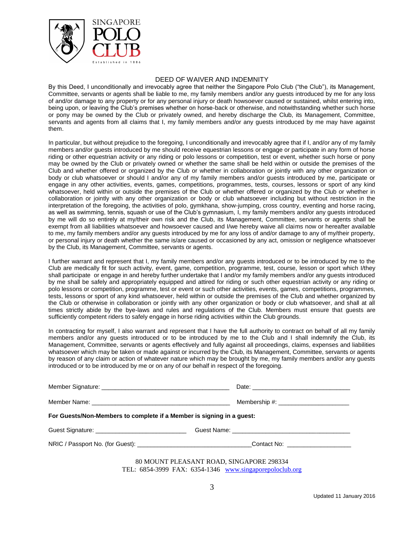

## DEED OF WAIVER AND INDEMNITY

By this Deed, I unconditionally and irrevocably agree that neither the Singapore Polo Club ("the Club"), its Management, Committee, servants or agents shall be liable to me, my family members and/or any guests introduced by me for any loss of and/or damage to any property or for any personal injury or death howsoever caused or sustained, whilst entering into, being upon, or leaving the Club's premises whether on horse-back or otherwise, and notwithstanding whether such horse or pony may be owned by the Club or privately owned, and hereby discharge the Club, its Management, Committee, servants and agents from all claims that I, my family members and/or any guests introduced by me may have against them.

In particular, but without prejudice to the foregoing, I unconditionally and irrevocably agree that if I, and/or any of my family members and/or guests introduced by me should receive equestrian lessons or engage or participate in any form of horse riding or other equestrian activity or any riding or polo lessons or competition, test or event, whether such horse or pony may be owned by the Club or privately owned or whether the same shall be held within or outside the premises of the Club and whether offered or organized by the Club or whether in collaboration or jointly with any other organization or body or club whatsoever or should I and/or any of my family members and/or guests introduced by me, participate or engage in any other activities, events, games, competitions, programmes, tests, courses, lessons or sport of any kind whatsoever, held within or outside the premises of the Club or whether offered or organized by the Club or whether in collaboration or jointly with any other organization or body or club whatsoever including but without restriction in the interpretation of the foregoing, the activities of polo, gymkhana, show-jumping, cross country, eventing and horse racing, as well as swimming, tennis, squash or use of the Club's gymnasium, I, my family members and/or any guests introduced by me will do so entirely at my/their own risk and the Club, its Management, Committee, servants or agents shall be exempt from all liabilities whatsoever and howsoever caused and I/we hereby waive all claims now or hereafter available to me, my family members and/or any guests introduced by me for any loss of and/or damage to any of my/their property, or personal injury or death whether the same is/are caused or occasioned by any act, omission or negligence whatsoever by the Club, its Management, Committee, servants or agents.

I further warrant and represent that I, my family members and/or any guests introduced or to be introduced by me to the Club are medically fit for such activity, event, game, competition, programme, test, course, lesson or sport which I/they shall participate or engage in and hereby further undertake that I and/or my family members and/or any guests introduced by me shall be safely and appropriately equipped and attired for riding or such other equestrian activity or any riding or polo lessons or competition, programme, test or event or such other activities, events, games, competitions, programmes, tests, lessons or sport of any kind whatsoever, held within or outside the premises of the Club and whether organized by the Club or otherwise in collaboration or jointly with any other organization or body or club whatsoever, and shall at all times strictly abide by the bye-laws and rules and regulations of the Club. Members must ensure that guests are sufficiently competent riders to safely engage in horse riding activities within the Club grounds.

In contracting for myself, I also warrant and represent that I have the full authority to contract on behalf of all my family members and/or any guests introduced or to be introduced by me to the Club and I shall indemnify the Club, its Management, Committee, servants or agents effectively and fully against all proceedings, claims, expenses and liabilities whatsoever which may be taken or made against or incurred by the Club, its Management, Committee, servants or agents by reason of any claim or action of whatever nature which may be brought by me, my family members and/or any guests introduced or to be introduced by me or on any of our behalf in respect of the foregoing.

| For Guests/Non-Members to complete if a Member is signing in a guest:                                |                                          |  |  |
|------------------------------------------------------------------------------------------------------|------------------------------------------|--|--|
|                                                                                                      |                                          |  |  |
| NRIC / Passport No. (for Guest): __________________________________Contact No: _____________________ |                                          |  |  |
|                                                                                                      | 80 MOUNT PLEASANT ROAD, SINGAPORE 298334 |  |  |

TEL: 6854-3999 FAX: 6354-1346 [www.singaporepoloclub.org](http://www.singaporepoloclub.org/)